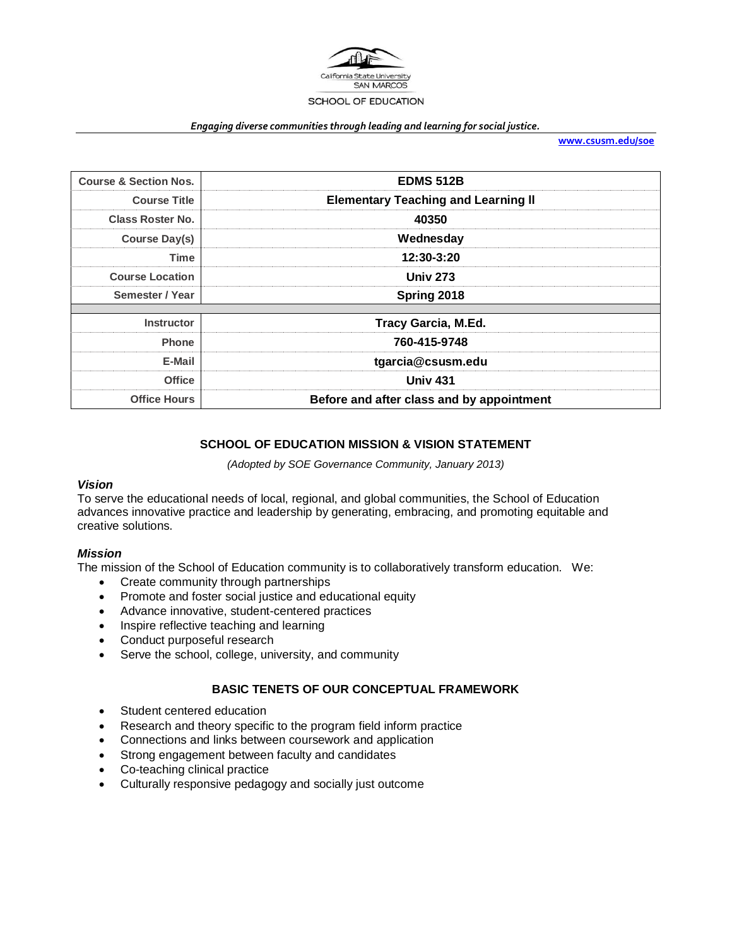

#### *Engaging diverse communities through leading and learning for social justice.*

**[www.csusm.edu/soe](http://www.csusm.edu/soe)**

| <b>Course &amp; Section Nos.</b> | <b>EDMS 512B</b>                           |
|----------------------------------|--------------------------------------------|
| <b>Course Title</b>              | <b>Elementary Teaching and Learning II</b> |
| <b>Class Roster No.</b>          | 40350                                      |
| Course Day(s)                    | Wednesday                                  |
| <b>Time</b>                      | 12:30-3:20                                 |
| <b>Course Location</b>           | <b>Univ 273</b>                            |
| Semester / Year                  | Spring 2018                                |
|                                  |                                            |
| <b>Instructor</b>                | <b>Tracy Garcia, M.Ed.</b>                 |
| <b>Phone</b>                     | 760-415-9748                               |
| E-Mail                           | tgarcia@csusm.edu                          |
| <b>Office</b>                    | <b>Univ 431</b>                            |
| <b>Office Hours</b>              | Before and after class and by appointment  |

# **SCHOOL OF EDUCATION MISSION & VISION STATEMENT**

*(Adopted by SOE Governance Community, January 2013)*

#### *Vision*

To serve the educational needs of local, regional, and global communities, the School of Education advances innovative practice and leadership by generating, embracing, and promoting equitable and creative solutions.

#### *Mission*

The mission of the School of Education community is to collaboratively transform education. We:

- Create community through partnerships
- Promote and foster social justice and educational equity
- Advance innovative, student-centered practices
- Inspire reflective teaching and learning
- Conduct purposeful research
- Serve the school, college, university, and community

#### **BASIC TENETS OF OUR CONCEPTUAL FRAMEWORK**

- Student centered education
- Research and theory specific to the program field inform practice
- Connections and links between coursework and application
- Strong engagement between faculty and candidates
- Co-teaching clinical practice
- Culturally responsive pedagogy and socially just outcome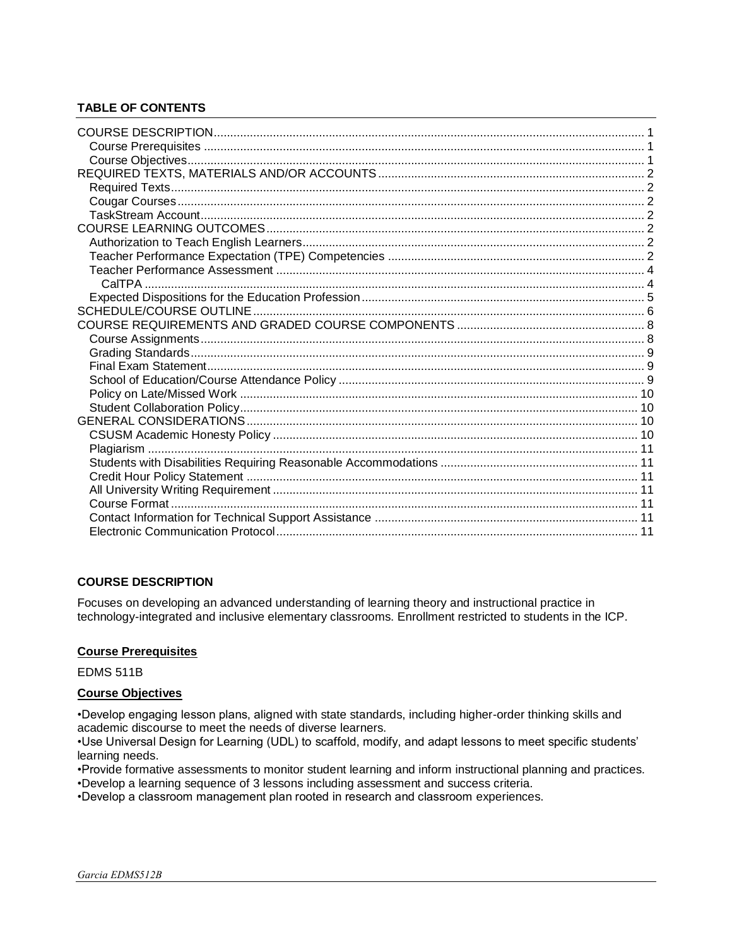# **TABLE OF CONTENTS**

# <span id="page-1-0"></span>**COURSE DESCRIPTION**

Focuses on developing an advanced understanding of learning theory and instructional practice in technology-integrated and inclusive elementary classrooms. Enrollment restricted to students in the ICP.

# <span id="page-1-1"></span>**Course Prerequisites**

EDMS 511B

# <span id="page-1-2"></span>**Course Objectives**

•Develop engaging lesson plans, aligned with state standards, including higher-order thinking skills and academic discourse to meet the needs of diverse learners.

•Use Universal Design for Learning (UDL) to scaffold, modify, and adapt lessons to meet specific students' learning needs.

•Provide formative assessments to monitor student learning and inform instructional planning and practices. •Develop a learning sequence of 3 lessons including assessment and success criteria.

<span id="page-1-3"></span>•Develop a classroom management plan rooted in research and classroom experiences.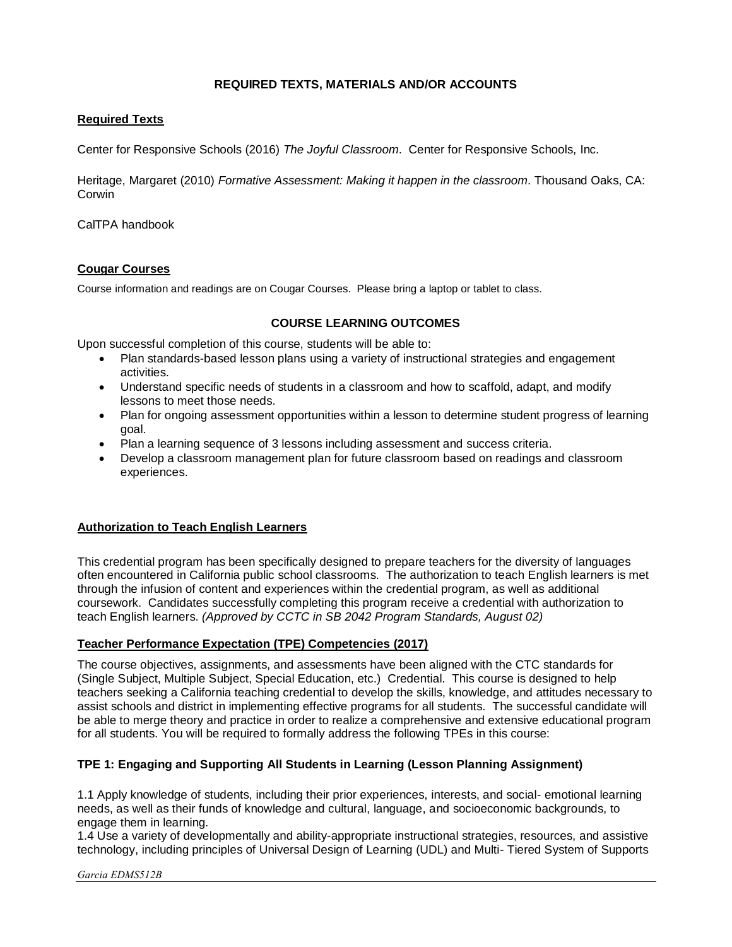# **REQUIRED TEXTS, MATERIALS AND/OR ACCOUNTS**

## <span id="page-2-0"></span>**Required Texts**

Center for Responsive Schools (2016) *The Joyful Classroom*. Center for Responsive Schools, Inc.

Heritage, Margaret (2010) *Formative Assessment: Making it happen in the classroom*. Thousand Oaks, CA: **Corwin** 

CalTPA handbook

#### <span id="page-2-1"></span>**Cougar Courses**

<span id="page-2-2"></span>Course information and readings are on Cougar Courses. Please bring a laptop or tablet to class.

## **COURSE LEARNING OUTCOMES**

Upon successful completion of this course, students will be able to:

- Plan standards-based lesson plans using a variety of instructional strategies and engagement activities.
- Understand specific needs of students in a classroom and how to scaffold, adapt, and modify lessons to meet those needs.
- Plan for ongoing assessment opportunities within a lesson to determine student progress of learning goal.
- Plan a learning sequence of 3 lessons including assessment and success criteria.
- Develop a classroom management plan for future classroom based on readings and classroom experiences.

# <span id="page-2-3"></span>**Authorization to Teach English Learners**

This credential program has been specifically designed to prepare teachers for the diversity of languages often encountered in California public school classrooms. The authorization to teach English learners is met through the infusion of content and experiences within the credential program, as well as additional coursework. Candidates successfully completing this program receive a credential with authorization to teach English learners. *(Approved by CCTC in SB 2042 Program Standards, August 02)*

# <span id="page-2-4"></span>**Teacher Performance Expectation (TPE) Competencies (2017)**

The course objectives, assignments, and assessments have been aligned with the CTC standards for (Single Subject, Multiple Subject, Special Education, etc.) Credential. This course is designed to help teachers seeking a California teaching credential to develop the skills, knowledge, and attitudes necessary to assist schools and district in implementing effective programs for all students. The successful candidate will be able to merge theory and practice in order to realize a comprehensive and extensive educational program for all students. You will be required to formally address the following TPEs in this course:

# **TPE 1: Engaging and Supporting All Students in Learning (Lesson Planning Assignment)**

1.1 Apply knowledge of students, including their prior experiences, interests, and social- emotional learning needs, as well as their funds of knowledge and cultural, language, and socioeconomic backgrounds, to engage them in learning.

1.4 Use a variety of developmentally and ability-appropriate instructional strategies, resources, and assistive technology, including principles of Universal Design of Learning (UDL) and Multi- Tiered System of Supports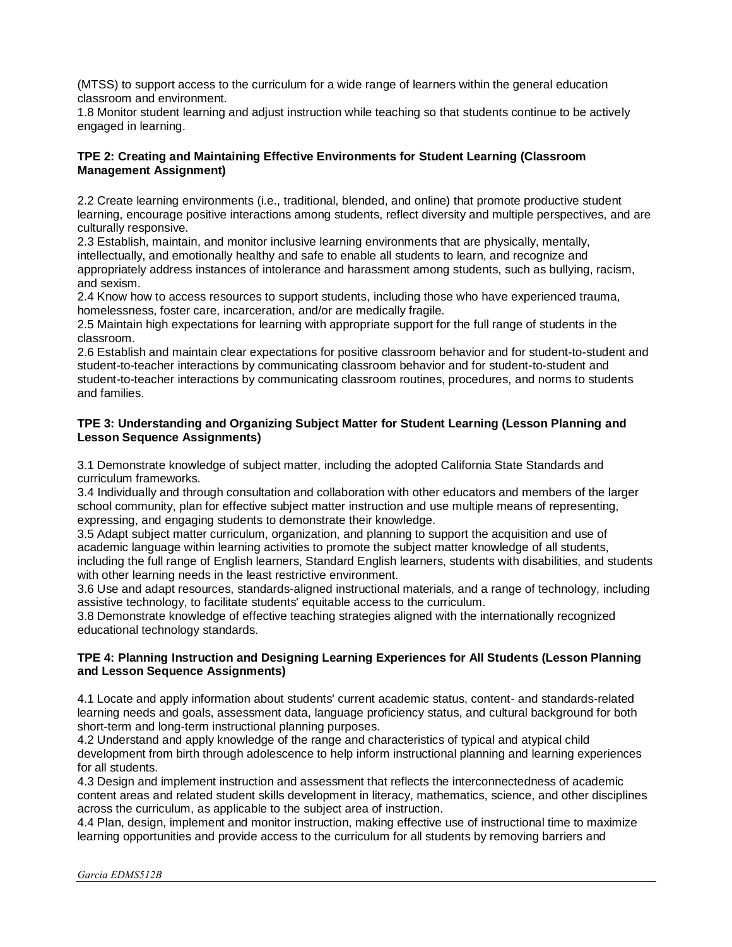(MTSS) to support access to the curriculum for a wide range of learners within the general education classroom and environment.

1.8 Monitor student learning and adjust instruction while teaching so that students continue to be actively engaged in learning.

#### **TPE 2: Creating and Maintaining Effective Environments for Student Learning (Classroom Management Assignment)**

2.2 Create learning environments (i.e., traditional, blended, and online) that promote productive student learning, encourage positive interactions among students, reflect diversity and multiple perspectives, and are culturally responsive.

2.3 Establish, maintain, and monitor inclusive learning environments that are physically, mentally, intellectually, and emotionally healthy and safe to enable all students to learn, and recognize and appropriately address instances of intolerance and harassment among students, such as bullying, racism, and sexism.

2.4 Know how to access resources to support students, including those who have experienced trauma, homelessness, foster care, incarceration, and/or are medically fragile.

2.5 Maintain high expectations for learning with appropriate support for the full range of students in the classroom.

2.6 Establish and maintain clear expectations for positive classroom behavior and for student-to-student and student-to-teacher interactions by communicating classroom behavior and for student-to-student and student-to-teacher interactions by communicating classroom routines, procedures, and norms to students and families.

#### **TPE 3: Understanding and Organizing Subject Matter for Student Learning (Lesson Planning and Lesson Sequence Assignments)**

3.1 Demonstrate knowledge of subject matter, including the adopted California State Standards and curriculum frameworks.

3.4 Individually and through consultation and collaboration with other educators and members of the larger school community, plan for effective subject matter instruction and use multiple means of representing, expressing, and engaging students to demonstrate their knowledge.

3.5 Adapt subject matter curriculum, organization, and planning to support the acquisition and use of academic language within learning activities to promote the subject matter knowledge of all students, including the full range of English learners, Standard English learners, students with disabilities, and students with other learning needs in the least restrictive environment.

3.6 Use and adapt resources, standards-aligned instructional materials, and a range of technology, including assistive technology, to facilitate students' equitable access to the curriculum.

3.8 Demonstrate knowledge of effective teaching strategies aligned with the internationally recognized educational technology standards.

# **TPE 4: Planning Instruction and Designing Learning Experiences for All Students (Lesson Planning and Lesson Sequence Assignments)**

4.1 Locate and apply information about students' current academic status, content- and standards-related learning needs and goals, assessment data, language proficiency status, and cultural background for both short-term and long-term instructional planning purposes.

4.2 Understand and apply knowledge of the range and characteristics of typical and atypical child development from birth through adolescence to help inform instructional planning and learning experiences for all students.

4.3 Design and implement instruction and assessment that reflects the interconnectedness of academic content areas and related student skills development in literacy, mathematics, science, and other disciplines across the curriculum, as applicable to the subject area of instruction.

4.4 Plan, design, implement and monitor instruction, making effective use of instructional time to maximize learning opportunities and provide access to the curriculum for all students by removing barriers and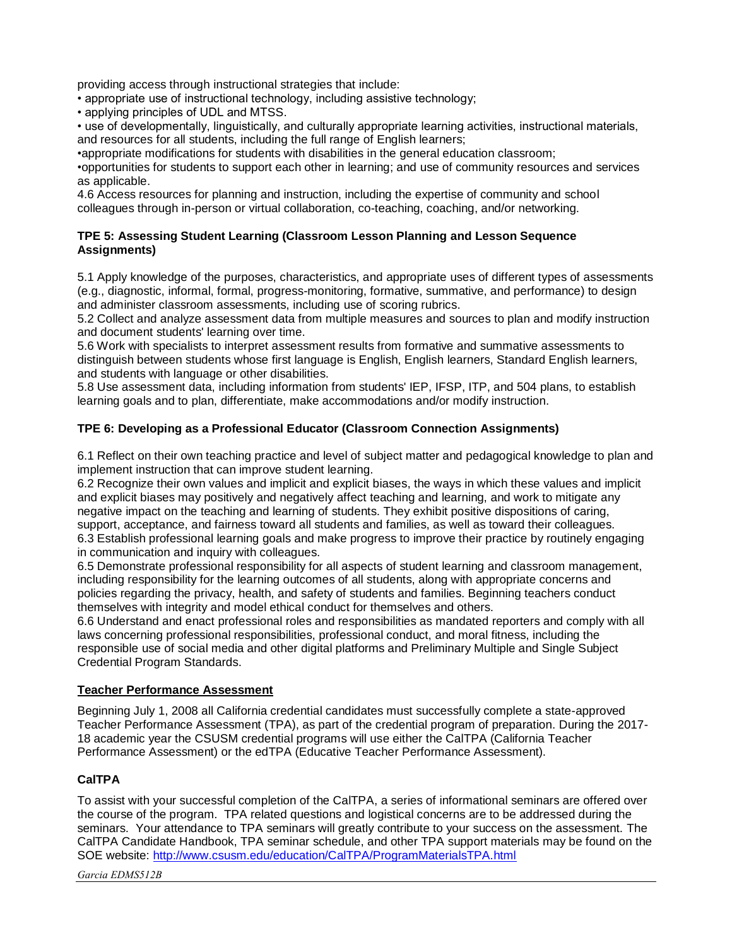providing access through instructional strategies that include:

• appropriate use of instructional technology, including assistive technology;

• applying principles of UDL and MTSS.

• use of developmentally, linguistically, and culturally appropriate learning activities, instructional materials, and resources for all students, including the full range of English learners;

•appropriate modifications for students with disabilities in the general education classroom;

•opportunities for students to support each other in learning; and use of community resources and services as applicable.

4.6 Access resources for planning and instruction, including the expertise of community and school colleagues through in-person or virtual collaboration, co-teaching, coaching, and/or networking.

#### **TPE 5: Assessing Student Learning (Classroom Lesson Planning and Lesson Sequence Assignments)**

5.1 Apply knowledge of the purposes, characteristics, and appropriate uses of different types of assessments (e.g., diagnostic, informal, formal, progress-monitoring, formative, summative, and performance) to design and administer classroom assessments, including use of scoring rubrics.

5.2 Collect and analyze assessment data from multiple measures and sources to plan and modify instruction and document students' learning over time.

5.6 Work with specialists to interpret assessment results from formative and summative assessments to distinguish between students whose first language is English, English learners, Standard English learners, and students with language or other disabilities.

5.8 Use assessment data, including information from students' IEP, IFSP, ITP, and 504 plans, to establish learning goals and to plan, differentiate, make accommodations and/or modify instruction.

# **TPE 6: Developing as a Professional Educator (Classroom Connection Assignments)**

6.1 Reflect on their own teaching practice and level of subject matter and pedagogical knowledge to plan and implement instruction that can improve student learning.

6.2 Recognize their own values and implicit and explicit biases, the ways in which these values and implicit and explicit biases may positively and negatively affect teaching and learning, and work to mitigate any negative impact on the teaching and learning of students. They exhibit positive dispositions of caring, support, acceptance, and fairness toward all students and families, as well as toward their colleagues.

6.3 Establish professional learning goals and make progress to improve their practice by routinely engaging in communication and inquiry with colleagues.

6.5 Demonstrate professional responsibility for all aspects of student learning and classroom management, including responsibility for the learning outcomes of all students, along with appropriate concerns and policies regarding the privacy, health, and safety of students and families. Beginning teachers conduct themselves with integrity and model ethical conduct for themselves and others.

6.6 Understand and enact professional roles and responsibilities as mandated reporters and comply with all laws concerning professional responsibilities, professional conduct, and moral fitness, including the responsible use of social media and other digital platforms and Preliminary Multiple and Single Subject Credential Program Standards.

# <span id="page-4-0"></span>**Teacher Performance Assessment**

Beginning July 1, 2008 all California credential candidates must successfully complete a state-approved Teacher Performance Assessment (TPA), as part of the credential program of preparation. During the 2017- 18 academic year the CSUSM credential programs will use either the CalTPA (California Teacher Performance Assessment) or the edTPA (Educative Teacher Performance Assessment).

# <span id="page-4-1"></span>**CalTPA**

To assist with your successful completion of the CalTPA, a series of informational seminars are offered over the course of the program. TPA related questions and logistical concerns are to be addressed during the seminars. Your attendance to TPA seminars will greatly contribute to your success on the assessment. The CalTPA Candidate Handbook, TPA seminar schedule, and other TPA support materials may be found on the SOE website:<http://www.csusm.edu/education/CalTPA/ProgramMaterialsTPA.html>

*Garcia EDMS512B*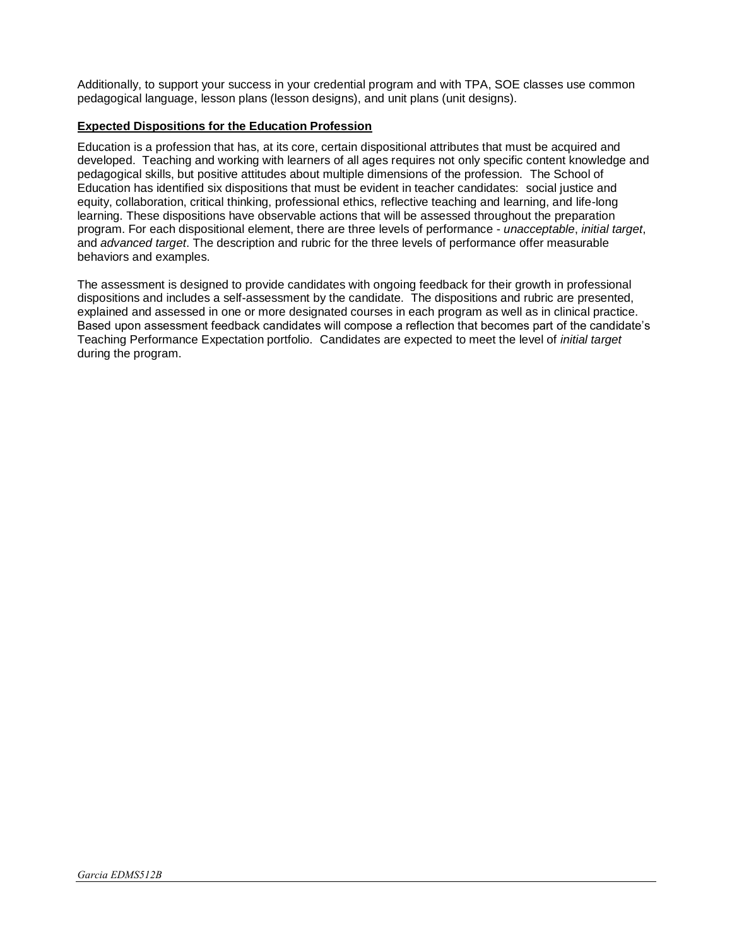Additionally, to support your success in your credential program and with TPA, SOE classes use common pedagogical language, lesson plans (lesson designs), and unit plans (unit designs).

# <span id="page-5-0"></span>**Expected Dispositions for the Education Profession**

Education is a profession that has, at its core, certain dispositional attributes that must be acquired and developed. Teaching and working with learners of all ages requires not only specific content knowledge and pedagogical skills, but positive attitudes about multiple dimensions of the profession. The School of Education has identified six dispositions that must be evident in teacher candidates: social justice and equity, collaboration, critical thinking, professional ethics, reflective teaching and learning, and life-long learning. These dispositions have observable actions that will be assessed throughout the preparation program. For each dispositional element, there are three levels of performance - *unacceptable*, *initial target*, and *advanced target*. The description and rubric for the three levels of performance offer measurable behaviors and examples.

The assessment is designed to provide candidates with ongoing feedback for their growth in professional dispositions and includes a self-assessment by the candidate. The dispositions and rubric are presented, explained and assessed in one or more designated courses in each program as well as in clinical practice. Based upon assessment feedback candidates will compose a reflection that becomes part of the candidate's Teaching Performance Expectation portfolio. Candidates are expected to meet the level of *initial target* during the program.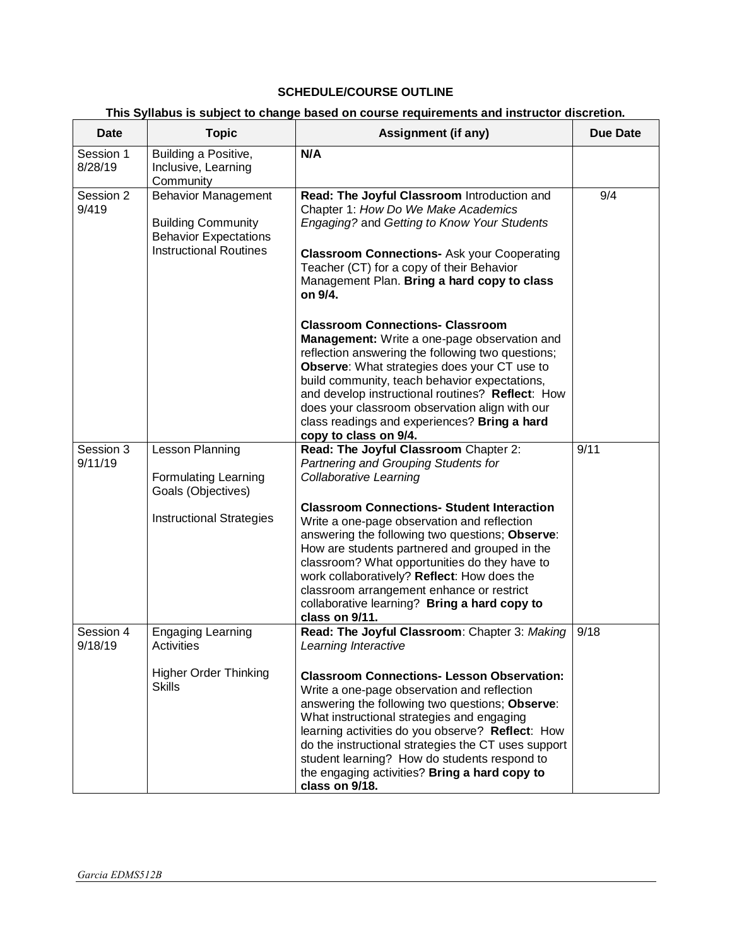# **SCHEDULE/COURSE OUTLINE**

# **This Syllabus is subject to change based on course requirements and instructor discretion.**

<span id="page-6-0"></span>

| <b>Date</b>          | <b>Topic</b>                                                                                                             | <b>Assignment (if any)</b>                                                                                                                                                                                                                                                                                                                                                                                                      | <b>Due Date</b> |
|----------------------|--------------------------------------------------------------------------------------------------------------------------|---------------------------------------------------------------------------------------------------------------------------------------------------------------------------------------------------------------------------------------------------------------------------------------------------------------------------------------------------------------------------------------------------------------------------------|-----------------|
| Session 1<br>8/28/19 | Building a Positive,<br>Inclusive, Learning<br>Community                                                                 | N/A                                                                                                                                                                                                                                                                                                                                                                                                                             |                 |
| Session 2<br>9/419   | <b>Behavior Management</b><br><b>Building Community</b><br><b>Behavior Expectations</b><br><b>Instructional Routines</b> | Read: The Joyful Classroom Introduction and<br>Chapter 1: How Do We Make Academics<br>Engaging? and Getting to Know Your Students<br><b>Classroom Connections- Ask your Cooperating</b><br>Teacher (CT) for a copy of their Behavior<br>Management Plan. Bring a hard copy to class<br>on 9/4.                                                                                                                                  | 9/4             |
|                      |                                                                                                                          | <b>Classroom Connections- Classroom</b><br>Management: Write a one-page observation and<br>reflection answering the following two questions;<br>Observe: What strategies does your CT use to<br>build community, teach behavior expectations,<br>and develop instructional routines? Reflect: How<br>does your classroom observation align with our<br>class readings and experiences? Bring a hard<br>copy to class on 9/4.    |                 |
| Session 3<br>9/11/19 | Lesson Planning<br><b>Formulating Learning</b><br>Goals (Objectives)                                                     | Read: The Joyful Classroom Chapter 2:<br>Partnering and Grouping Students for<br>Collaborative Learning                                                                                                                                                                                                                                                                                                                         | 9/11            |
|                      | <b>Instructional Strategies</b>                                                                                          | <b>Classroom Connections- Student Interaction</b><br>Write a one-page observation and reflection<br>answering the following two questions; Observe:<br>How are students partnered and grouped in the<br>classroom? What opportunities do they have to<br>work collaboratively? Reflect: How does the<br>classroom arrangement enhance or restrict<br>collaborative learning? Bring a hard copy to<br>class on 9/11.             |                 |
| Session 4<br>9/18/19 | <b>Engaging Learning</b><br><b>Activities</b>                                                                            | Read: The Joyful Classroom: Chapter 3: Making<br>Learning Interactive                                                                                                                                                                                                                                                                                                                                                           | 9/18            |
|                      | <b>Higher Order Thinking</b><br><b>Skills</b>                                                                            | <b>Classroom Connections- Lesson Observation:</b><br>Write a one-page observation and reflection<br>answering the following two questions; Observe:<br>What instructional strategies and engaging<br>learning activities do you observe? Reflect: How<br>do the instructional strategies the CT uses support<br>student learning? How do students respond to<br>the engaging activities? Bring a hard copy to<br>class on 9/18. |                 |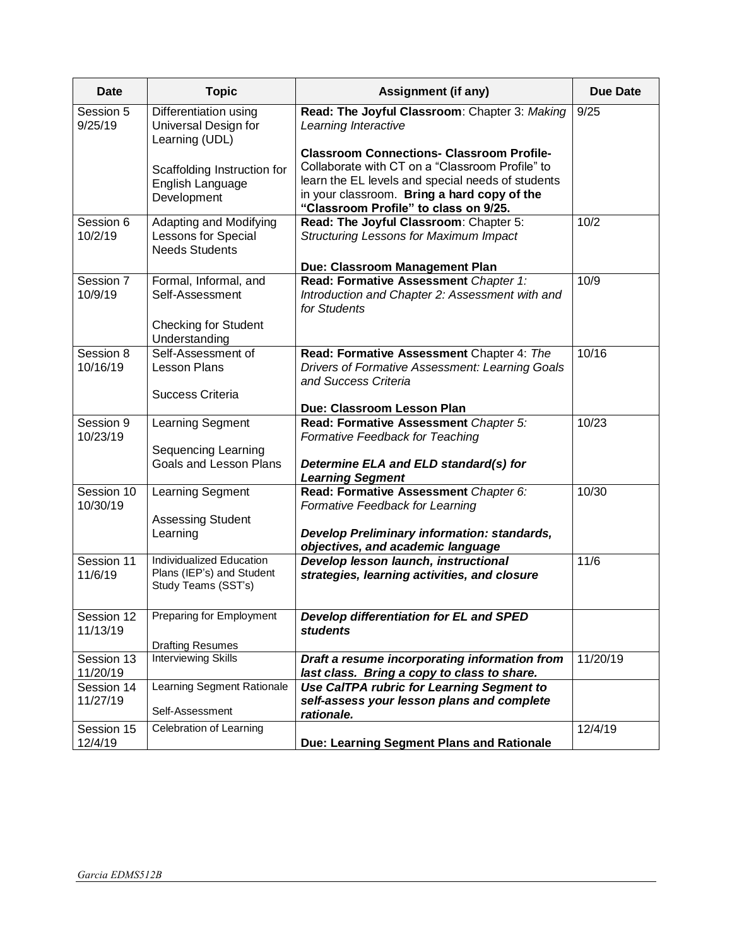<span id="page-7-0"></span>

| <b>Date</b>            | <b>Topic</b>                                                                             | <b>Assignment (if any)</b>                                                                                                                                                                                                                       | Due Date |
|------------------------|------------------------------------------------------------------------------------------|--------------------------------------------------------------------------------------------------------------------------------------------------------------------------------------------------------------------------------------------------|----------|
| Session 5<br>9/25/19   | Differentiation using<br>Universal Design for<br>Learning (UDL)                          | Read: The Joyful Classroom: Chapter 3: Making<br>Learning Interactive                                                                                                                                                                            | 9/25     |
|                        | Scaffolding Instruction for<br>English Language<br>Development                           | <b>Classroom Connections- Classroom Profile-</b><br>Collaborate with CT on a "Classroom Profile" to<br>learn the EL levels and special needs of students<br>in your classroom. Bring a hard copy of the<br>"Classroom Profile" to class on 9/25. |          |
| Session 6<br>10/2/19   | Adapting and Modifying<br>Lessons for Special<br><b>Needs Students</b>                   | Read: The Joyful Classroom: Chapter 5:<br><b>Structuring Lessons for Maximum Impact</b><br>Due: Classroom Management Plan                                                                                                                        | 10/2     |
| Session 7<br>10/9/19   | Formal, Informal, and<br>Self-Assessment<br><b>Checking for Student</b><br>Understanding | Read: Formative Assessment Chapter 1:<br>Introduction and Chapter 2: Assessment with and<br>for Students                                                                                                                                         | 10/9     |
| Session 8<br>10/16/19  | Self-Assessment of<br><b>Lesson Plans</b><br><b>Success Criteria</b>                     | Read: Formative Assessment Chapter 4: The<br><b>Drivers of Formative Assessment: Learning Goals</b><br>and Success Criteria                                                                                                                      | 10/16    |
| Session 9<br>10/23/19  | Learning Segment<br><b>Sequencing Learning</b><br><b>Goals and Lesson Plans</b>          | Due: Classroom Lesson Plan<br>Read: Formative Assessment Chapter 5:<br>Formative Feedback for Teaching<br>Determine ELA and ELD standard(s) for<br><b>Learning Segment</b>                                                                       | 10/23    |
| Session 10<br>10/30/19 | Learning Segment<br><b>Assessing Student</b><br>Learning                                 | Read: Formative Assessment Chapter 6:<br>Formative Feedback for Learning<br>Develop Preliminary information: standards,<br>objectives, and academic language                                                                                     | 10/30    |
| Session 11<br>11/6/19  | Individualized Education<br>Plans (IEP's) and Student<br>Study Teams (SST's)             | Develop lesson launch, instructional<br>strategies, learning activities, and closure                                                                                                                                                             | 11/6     |
| Session 12<br>11/13/19 | Preparing for Employment<br><b>Drafting Resumes</b>                                      | Develop differentiation for EL and SPED<br><b>students</b>                                                                                                                                                                                       |          |
| Session 13<br>11/20/19 | <b>Interviewing Skills</b>                                                               | Draft a resume incorporating information from<br>last class. Bring a copy to class to share.                                                                                                                                                     | 11/20/19 |
| Session 14<br>11/27/19 | <b>Learning Segment Rationale</b><br>Self-Assessment                                     | Use CalTPA rubric for Learning Segment to<br>self-assess your lesson plans and complete<br>rationale.                                                                                                                                            |          |
| Session 15<br>12/4/19  | Celebration of Learning                                                                  | Due: Learning Segment Plans and Rationale                                                                                                                                                                                                        | 12/4/19  |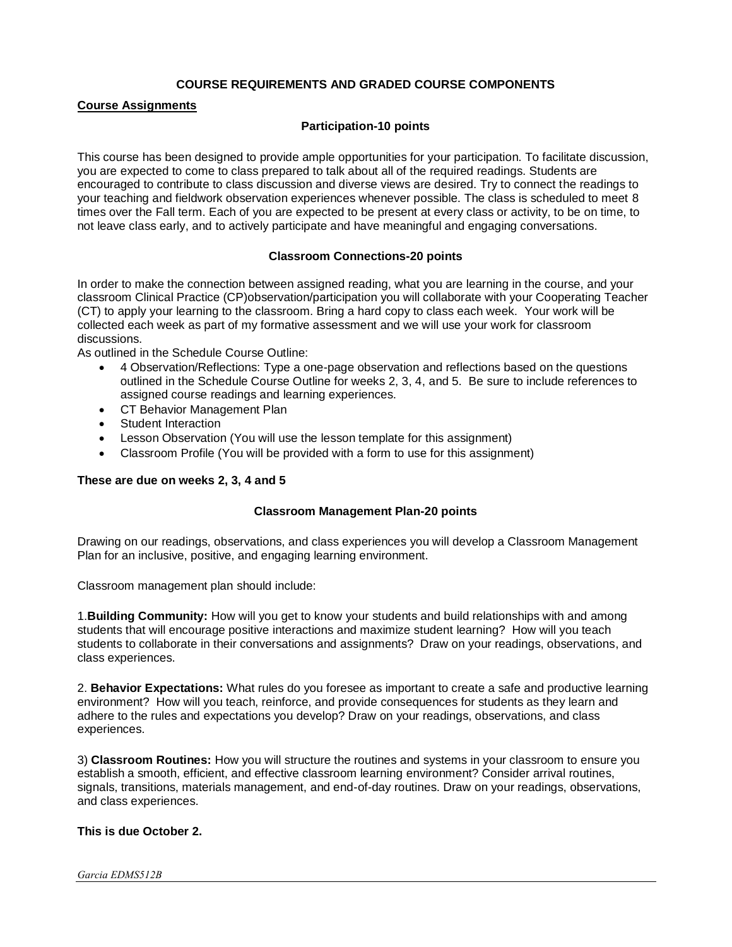# **COURSE REQUIREMENTS AND GRADED COURSE COMPONENTS**

#### <span id="page-8-0"></span>**Course Assignments**

#### **Participation-10 points**

This course has been designed to provide ample opportunities for your participation. To facilitate discussion, you are expected to come to class prepared to talk about all of the required readings. Students are encouraged to contribute to class discussion and diverse views are desired. Try to connect the readings to your teaching and fieldwork observation experiences whenever possible. The class is scheduled to meet 8 times over the Fall term. Each of you are expected to be present at every class or activity, to be on time, to not leave class early, and to actively participate and have meaningful and engaging conversations.

#### **Classroom Connections-20 points**

In order to make the connection between assigned reading, what you are learning in the course, and your classroom Clinical Practice (CP)observation/participation you will collaborate with your Cooperating Teacher (CT) to apply your learning to the classroom. Bring a hard copy to class each week. Your work will be collected each week as part of my formative assessment and we will use your work for classroom discussions.

As outlined in the Schedule Course Outline:

- 4 Observation/Reflections: Type a one-page observation and reflections based on the questions outlined in the Schedule Course Outline for weeks 2, 3, 4, and 5. Be sure to include references to assigned course readings and learning experiences.
- CT Behavior Management Plan
- Student Interaction
- Lesson Observation (You will use the lesson template for this assignment)
- Classroom Profile (You will be provided with a form to use for this assignment)

#### **These are due on weeks 2, 3, 4 and 5**

#### **Classroom Management Plan-20 points**

Drawing on our readings, observations, and class experiences you will develop a Classroom Management Plan for an inclusive, positive, and engaging learning environment.

Classroom management plan should include:

1.**Building Community:** How will you get to know your students and build relationships with and among students that will encourage positive interactions and maximize student learning? How will you teach students to collaborate in their conversations and assignments? Draw on your readings, observations, and class experiences.

2. **Behavior Expectations:** What rules do you foresee as important to create a safe and productive learning environment? How will you teach, reinforce, and provide consequences for students as they learn and adhere to the rules and expectations you develop? Draw on your readings, observations, and class experiences.

3) **Classroom Routines:** How you will structure the routines and systems in your classroom to ensure you establish a smooth, efficient, and effective classroom learning environment? Consider arrival routines, signals, transitions, materials management, and end-of-day routines. Draw on your readings, observations, and class experiences.

#### **This is due October 2.**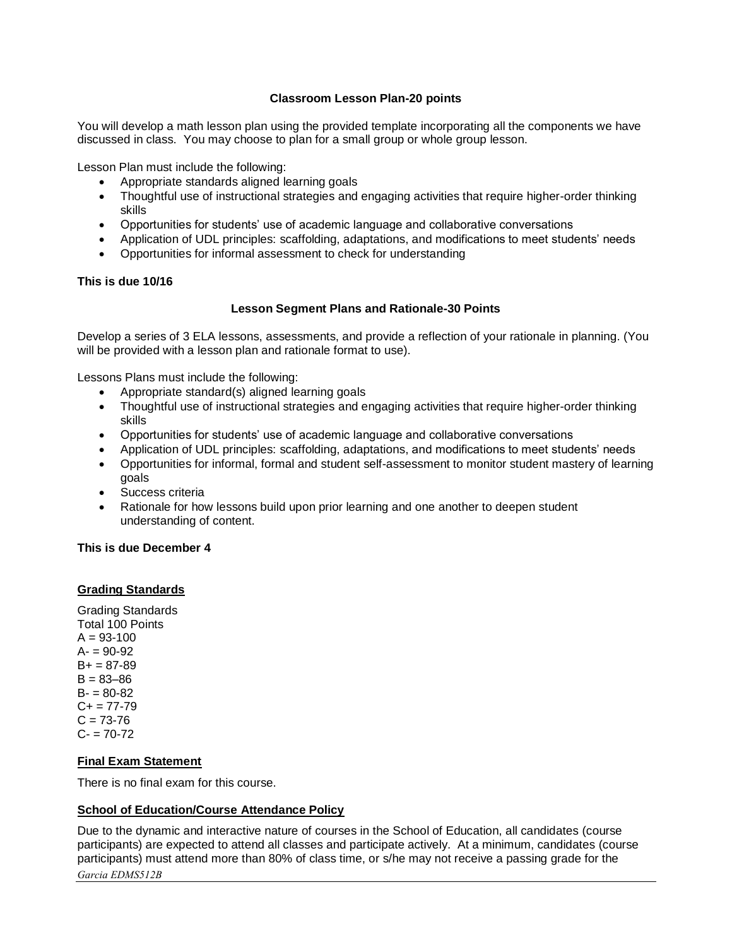# **Classroom Lesson Plan-20 points**

You will develop a math lesson plan using the provided template incorporating all the components we have discussed in class. You may choose to plan for a small group or whole group lesson.

Lesson Plan must include the following:

- Appropriate standards aligned learning goals
- Thoughtful use of instructional strategies and engaging activities that require higher-order thinking skills
- Opportunities for students' use of academic language and collaborative conversations
- Application of UDL principles: scaffolding, adaptations, and modifications to meet students' needs
- Opportunities for informal assessment to check for understanding

#### **This is due 10/16**

#### **Lesson Segment Plans and Rationale-30 Points**

Develop a series of 3 ELA lessons, assessments, and provide a reflection of your rationale in planning. (You will be provided with a lesson plan and rationale format to use).

Lessons Plans must include the following:

- Appropriate standard(s) aligned learning goals
- Thoughtful use of instructional strategies and engaging activities that require higher-order thinking skills
- Opportunities for students' use of academic language and collaborative conversations
- Application of UDL principles: scaffolding, adaptations, and modifications to meet students' needs
- Opportunities for informal, formal and student self-assessment to monitor student mastery of learning goals
- Success criteria
- Rationale for how lessons build upon prior learning and one another to deepen student understanding of content.

## **This is due December 4**

#### <span id="page-9-0"></span>**Grading Standards**

Grading Standards Total 100 Points  $A = 93 - 100$  $A - 90 - 92$  $B+ = 87-89$  $B = 83 - 86$  $B - 80 - 82$  $C+= 77-79$  $C = 73 - 76$  $C = 70-72$ 

#### <span id="page-9-1"></span>**Final Exam Statement**

There is no final exam for this course.

#### <span id="page-9-2"></span>**School of Education/Course Attendance Policy**

*Garcia EDMS512B* Due to the dynamic and interactive nature of courses in the School of Education, all candidates (course participants) are expected to attend all classes and participate actively. At a minimum, candidates (course participants) must attend more than 80% of class time, or s/he may not receive a passing grade for the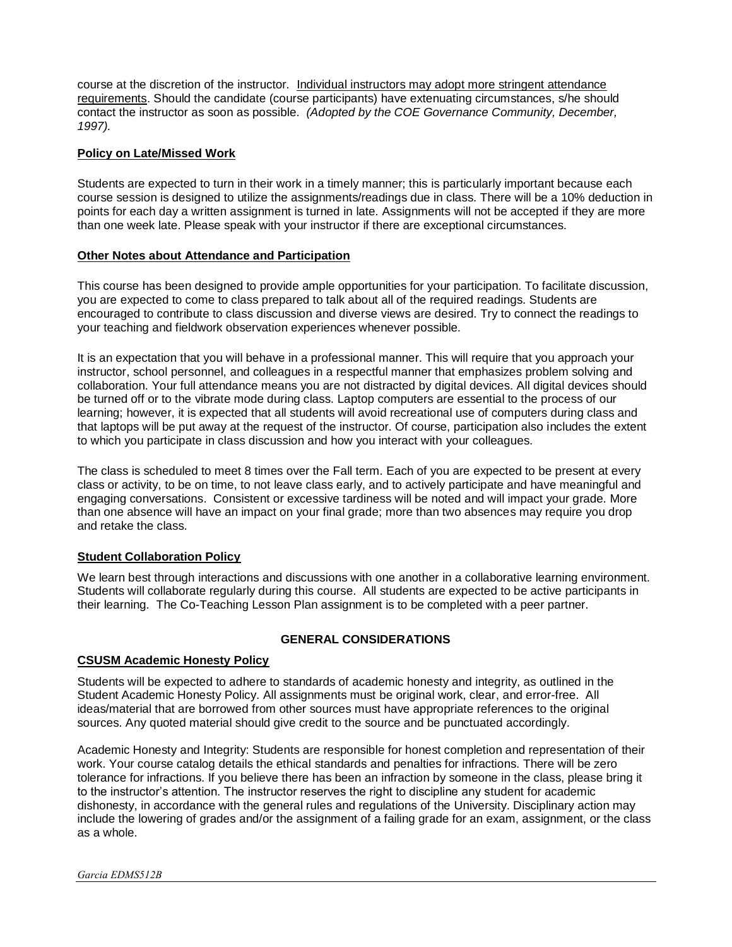course at the discretion of the instructor. Individual instructors may adopt more stringent attendance requirements. Should the candidate (course participants) have extenuating circumstances, s/he should contact the instructor as soon as possible. *(Adopted by the COE Governance Community, December, 1997).*

## <span id="page-10-0"></span>**Policy on Late/Missed Work**

Students are expected to turn in their work in a timely manner; this is particularly important because each course session is designed to utilize the assignments/readings due in class. There will be a 10% deduction in points for each day a written assignment is turned in late. Assignments will not be accepted if they are more than one week late. Please speak with your instructor if there are exceptional circumstances.

#### **Other Notes about Attendance and Participation**

This course has been designed to provide ample opportunities for your participation. To facilitate discussion, you are expected to come to class prepared to talk about all of the required readings. Students are encouraged to contribute to class discussion and diverse views are desired. Try to connect the readings to your teaching and fieldwork observation experiences whenever possible.

It is an expectation that you will behave in a professional manner. This will require that you approach your instructor, school personnel, and colleagues in a respectful manner that emphasizes problem solving and collaboration. Your full attendance means you are not distracted by digital devices. All digital devices should be turned off or to the vibrate mode during class. Laptop computers are essential to the process of our learning; however, it is expected that all students will avoid recreational use of computers during class and that laptops will be put away at the request of the instructor. Of course, participation also includes the extent to which you participate in class discussion and how you interact with your colleagues.

The class is scheduled to meet 8 times over the Fall term. Each of you are expected to be present at every class or activity, to be on time, to not leave class early, and to actively participate and have meaningful and engaging conversations. Consistent or excessive tardiness will be noted and will impact your grade. More than one absence will have an impact on your final grade; more than two absences may require you drop and retake the class.

# <span id="page-10-1"></span>**Student Collaboration Policy**

We learn best through interactions and discussions with one another in a collaborative learning environment. Students will collaborate regularly during this course. All students are expected to be active participants in their learning. The Co-Teaching Lesson Plan assignment is to be completed with a peer partner.

# **GENERAL CONSIDERATIONS**

#### <span id="page-10-3"></span><span id="page-10-2"></span>**CSUSM Academic Honesty Policy**

Students will be expected to adhere to standards of academic honesty and integrity, as outlined in the Student Academic Honesty Policy. All assignments must be original work, clear, and error-free. All ideas/material that are borrowed from other sources must have appropriate references to the original sources. Any quoted material should give credit to the source and be punctuated accordingly.

Academic Honesty and Integrity: Students are responsible for honest completion and representation of their work. Your course catalog details the ethical standards and penalties for infractions. There will be zero tolerance for infractions. If you believe there has been an infraction by someone in the class, please bring it to the instructor's attention. The instructor reserves the right to discipline any student for academic dishonesty, in accordance with the general rules and regulations of the University. Disciplinary action may include the lowering of grades and/or the assignment of a failing grade for an exam, assignment, or the class as a whole.